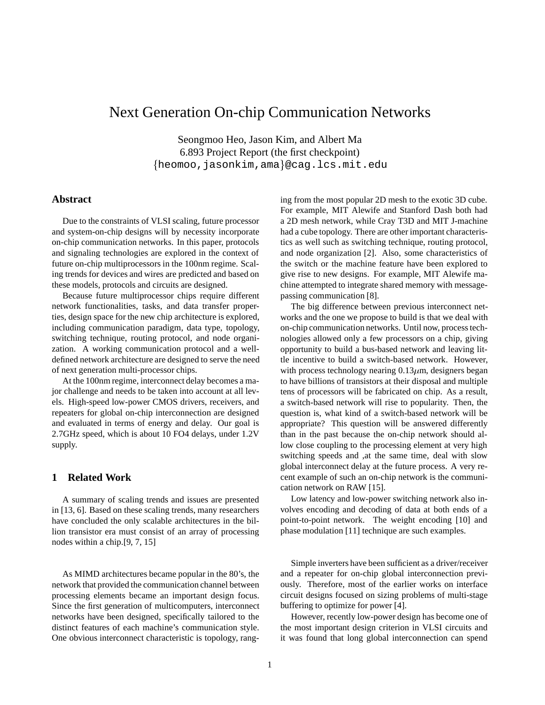# Next Generation On-chip Communication Networks

Seongmoo Heo, Jason Kim, and Albert Ma 6.893 Project Report (the first checkpoint) {heomoo, jasonkim, ama}@cag.lcs.mit.edu

### **Abstract**

Due to the constraints of VLSI scaling, future processor and system-on-chip designs will by necessity incorporate on-chip communication networks. In this paper, protocols and signaling technologies are explored in the context of future on-chip multiprocessors in the 100nm regime. Scaling trends for devices and wires are predicted and based on these models, protocols and circuits are designed.

Because future multiprocessor chips require different network functionalities, tasks, and data transfer properties, design space for the new chip architecture is explored, including communication paradigm, data type, topology, switching technique, routing protocol, and node organization. A working communication protocol and a welldefined network architecture are designed to serve the need of next generation multi-processor chips.

At the 100nm regime, interconnect delay becomes a major challenge and needs to be taken into account at all levels. High-speed low-power CMOS drivers, receivers, and repeaters for global on-chip interconnection are designed and evaluated in terms of energy and delay. Our goal is 2.7GHz speed, which is about 10 FO4 delays, under 1.2V supply.

## **1 Related Work**

A summary of scaling trends and issues are presented in [13, 6]. Based on these scaling trends, many researchers have concluded the only scalable architectures in the billion transistor era must consist of an array of processing nodes within a chip.[9, 7, 15]

As MIMD architectures became popular in the 80's, the network that provided the communication channel between processing elements became an important design focus. Since the first generation of multicomputers, interconnect networks have been designed, specifically tailored to the distinct features of each machine's communication style. One obvious interconnect characteristic is topology, ranging from the most popular 2D mesh to the exotic 3D cube. For example, MIT Alewife and Stanford Dash both had a 2D mesh network, while Cray T3D and MIT J-machine had a cube topology. There are other important characteristics as well such as switching technique, routing protocol, and node organization [2]. Also, some characteristics of the switch or the machine feature have been explored to give rise to new designs. For example, MIT Alewife machine attempted to integrate shared memory with messagepassing communication [8].

The big difference between previous interconnect networks and the one we propose to build is that we deal with on-chip communication networks. Until now, process technologies allowed only a few processors on a chip, giving opportunity to build a bus-based network and leaving little incentive to build a switch-based network. However, with process technology nearing  $0.13 \mu m$ , designers began to have billions of transistors at their disposal and multiple tens of processors will be fabricated on chip. As a result, a switch-based network will rise to popularity. Then, the question is, what kind of a switch-based network will be appropriate? This question will be answered differently than in the past because the on-chip network should allow close coupling to the processing element at very high switching speeds and ,at the same time, deal with slow global interconnect delay at the future process. A very recent example of such an on-chip network is the communication network on RAW [15].

Low latency and low-power switching network also involves encoding and decoding of data at both ends of a point-to-point network. The weight encoding [10] and phase modulation [11] technique are such examples.

Simple inverters have been sufficient as a driver/receiver and a repeater for on-chip global interconnection previously. Therefore, most of the earlier works on interface circuit designs focused on sizing problems of multi-stage buffering to optimize for power [4].

However, recently low-power design has become one of the most important design criterion in VLSI circuits and it was found that long global interconnection can spend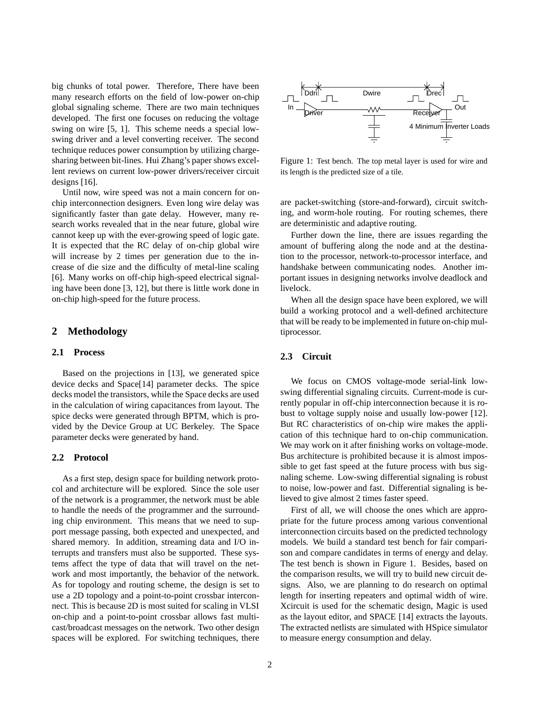big chunks of total power. Therefore, There have been many research efforts on the field of low-power on-chip global signaling scheme. There are two main techniques developed. The first one focuses on reducing the voltage swing on wire [5, 1]. This scheme needs a special lowswing driver and a level converting receiver. The second technique reduces power consumption by utilizing chargesharing between bit-lines. Hui Zhang's paper shows excellent reviews on current low-power drivers/receiver circuit designs [16].

Until now, wire speed was not a main concern for onchip interconnection designers. Even long wire delay was significantly faster than gate delay. However, many research works revealed that in the near future, global wire cannot keep up with the ever-growing speed of logic gate. It is expected that the RC delay of on-chip global wire will increase by 2 times per generation due to the increase of die size and the difficulty of metal-line scaling [6]. Many works on off-chip high-speed electrical signaling have been done [3, 12], but there is little work done in on-chip high-speed for the future process.

## **2 Methodology**

#### **2.1 Process**

Based on the projections in [13], we generated spice device decks and Space[14] parameter decks. The spice decks model the transistors, while the Space decks are used in the calculation of wiring capacitances from layout. The spice decks were generated through BPTM, which is provided by the Device Group at UC Berkeley. The Space parameter decks were generated by hand.

#### **2.2 Protocol**

As a first step, design space for building network protocol and architecture will be explored. Since the sole user of the network is a programmer, the network must be able to handle the needs of the programmer and the surrounding chip environment. This means that we need to support message passing, both expected and unexpected, and shared memory. In addition, streaming data and I/O interrupts and transfers must also be supported. These systems affect the type of data that will travel on the network and most importantly, the behavior of the network. As for topology and routing scheme, the design is set to use a 2D topology and a point-to-point crossbar interconnect. This is because 2D is most suited for scaling in VLSI on-chip and a point-to-point crossbar allows fast multicast/broadcast messages on the network. Two other design spaces will be explored. For switching techniques, there



Figure 1: Test bench. The top metal layer is used for wire and its length is the predicted size of a tile.

are packet-switching (store-and-forward), circuit switching, and worm-hole routing. For routing schemes, there are deterministic and adaptive routing.

Further down the line, there are issues regarding the amount of buffering along the node and at the destination to the processor, network-to-processor interface, and handshake between communicating nodes. Another important issues in designing networks involve deadlock and livelock.

When all the design space have been explored, we will build a working protocol and a well-defined architecture that will be ready to be implemented in future on-chip multiprocessor.

#### **2.3 Circuit**

We focus on CMOS voltage-mode serial-link lowswing differential signaling circuits. Current-mode is currently popular in off-chip interconnection because it is robust to voltage supply noise and usually low-power [12]. But RC characteristics of on-chip wire makes the application of this technique hard to on-chip communication. We may work on it after finishing works on voltage-mode. Bus architecture is prohibited because it is almost impossible to get fast speed at the future process with bus signaling scheme. Low-swing differential signaling is robust to noise, low-power and fast. Differential signaling is believed to give almost 2 times faster speed.

First of all, we will choose the ones which are appropriate for the future process among various conventional interconnection circuits based on the predicted technology models. We build a standard test bench for fair comparison and compare candidates in terms of energy and delay. The test bench is shown in Figure 1. Besides, based on the comparison results, we will try to build new circuit designs. Also, we are planning to do research on optimal length for inserting repeaters and optimal width of wire. Xcircuit is used for the schematic design, Magic is used as the layout editor, and SPACE [14] extracts the layouts. The extracted netlists are simulated with HSpice simulator to measure energy consumption and delay.